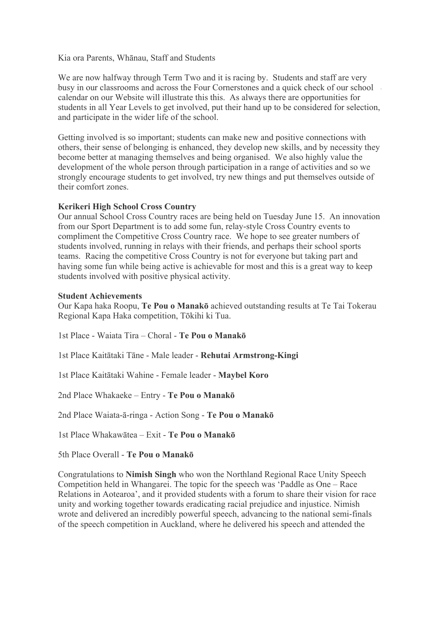Kia ora Parents, Whānau, Staff and Students

We are now halfway through Term Two and it is racing by. Students and staff are very busy in our classrooms and across the Four Cornerstones and a quick check of our school calendar on our Website will illustrate this this. As always there are opportunities for students in all Year Levels to get involved, put their hand up to be considered for selection, and participate in the wider life of the school.

Getting involved is so important; students can make new and positive connections with others, their sense of belonging is enhanced, they develop new skills, and by necessity they become better at managing themselves and being organised. We also highly value the development of the whole person through participation in a range of activities and so we strongly encourage students to get involved, try new things and put themselves outside of their comfort zones.

# **Kerikeri High School Cross Country**

Our annual School Cross Country races are being held on Tuesday June 15. An innovation from our Sport Department is to add some fun, relay-style Cross Country events to compliment the Competitive Cross Country race. We hope to see greater numbers of students involved, running in relays with their friends, and perhaps their school sports teams. Racing the competitive Cross Country is not for everyone but taking part and having some fun while being active is achievable for most and this is a great way to keep students involved with positive physical activity.

## **Student Achievements**

Our Kapa haka Roopu, **Te Pou o Manakō** achieved outstanding results at Te Tai Tokerau Regional Kapa Haka competition, Tōkihi ki Tua.

1st Place - Waiata Tira – Choral - **Te Pou o Manakō**

1st Place Kaitātaki Tāne - Male leader - **Rehutai Armstrong-Kingi**

1st Place Kaitātaki Wahine - Female leader - **Maybel Koro**

2nd Place Whakaeke – Entry - **Te Pou o Manakō**

2nd Place Waiata-ā-ringa - Action Song - **Te Pou o Manakō**

1st Place Whakawātea – Exit - **Te Pou o Manakō**

5th Place Overall - **Te Pou o Manakō**

Congratulations to **Nimish Singh** who won the Northland Regional Race Unity Speech Competition held in Whangarei. The topic for the speech was 'Paddle as One – Race Relations in Aotearoa', and it provided students with a forum to share their vision for race unity and working together towards eradicating racial prejudice and injustice. Nimish wrote and delivered an incredibly powerful speech, advancing to the national semi-finals of the speech competition in Auckland, where he delivered his speech and attended the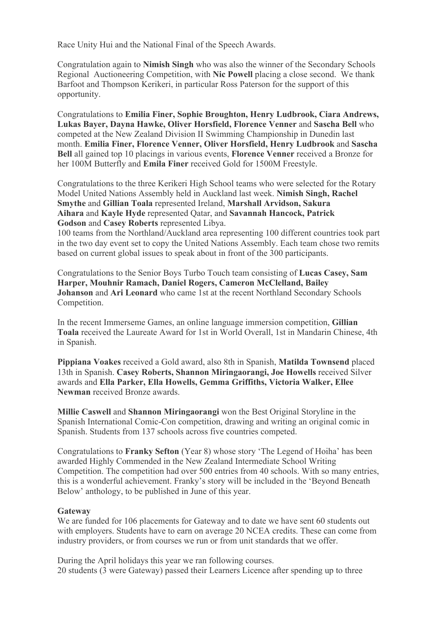Race Unity Hui and the National Final of the Speech Awards.

Congratulation again to **Nimish Singh** who was also the winner of the Secondary Schools Regional Auctioneering Competition, with **Nic Powell** placing a close second. We thank Barfoot and Thompson Kerikeri, in particular Ross Paterson for the support of this opportunity.

Congratulations to **Emilia Finer, Sophie Broughton, Henry Ludbrook, Ciara Andrews, Lukas Bayer, Dayna Hawke, Oliver Horsfield, Florence Venner** and **Sascha Bell** who competed at the New Zealand Division II Swimming Championship in Dunedin last month. **Emilia Finer, Florence Venner, Oliver Horsfield, Henry Ludbrook** and **Sascha Bell** all gained top 10 placings in various events, **Florence Venner** received a Bronze for her 100M Butterfly and **Emila Finer** received Gold for 1500M Freestyle.

Congratulations to the three Kerikeri High School teams who were selected for the Rotary Model United Nations Assembly held in Auckland last week. **Nimish Singh, Rachel Smythe** and **Gillian Toala** represented Ireland, **Marshall Arvidson, Sakura Aihara** and **Kayle Hyde** represented Qatar, and **Savannah Hancock, Patrick Godson** and **Casey Roberts** represented Libya.

100 teams from the Northland/Auckland area representing 100 different countries took part in the two day event set to copy the United Nations Assembly. Each team chose two remits based on current global issues to speak about in front of the 300 participants.

Congratulations to the Senior Boys Turbo Touch team consisting of **Lucas Casey, Sam Harper, Mouhnir Ramach, Daniel Rogers, Cameron McClelland, Bailey Johanson** and **Ari Leonard** who came 1st at the recent Northland Secondary Schools Competition.

In the recent Immerseme Games, an online language immersion competition, **Gillian Toala** received the Laureate Award for 1st in World Overall, 1st in Mandarin Chinese, 4th in Spanish.

**Pippiana Voakes** received a Gold award, also 8th in Spanish, **Matilda Townsend** placed 13th in Spanish. **Casey Roberts, Shannon Miringaorangi, Joe Howells** received Silver awards and **Ella Parker, Ella Howells, Gemma Griffiths, Victoria Walker, Ellee Newman** received Bronze awards.

**Millie Caswell** and **Shannon Miringaorangi** won the Best Original Storyline in the Spanish International Comic-Con competition, drawing and writing an original comic in Spanish. Students from 137 schools across five countries competed.

Congratulations to **Franky Sefton** (Year 8) whose story 'The Legend of Hoiha' has been awarded Highly Commended in the New Zealand Intermediate School Writing Competition. The competition had over 500 entries from 40 schools. With so many entries, this is a wonderful achievement. Franky's story will be included in the 'Beyond Beneath Below' anthology, to be published in June of this year.

# **Gateway**

We are funded for 106 placements for Gateway and to date we have sent 60 students out with employers. Students have to earn on average 20 NCEA credits. These can come from industry providers, or from courses we run or from unit standards that we offer.

During the April holidays this year we ran following courses. 20 students (3 were Gateway) passed their Learners Licence after spending up to three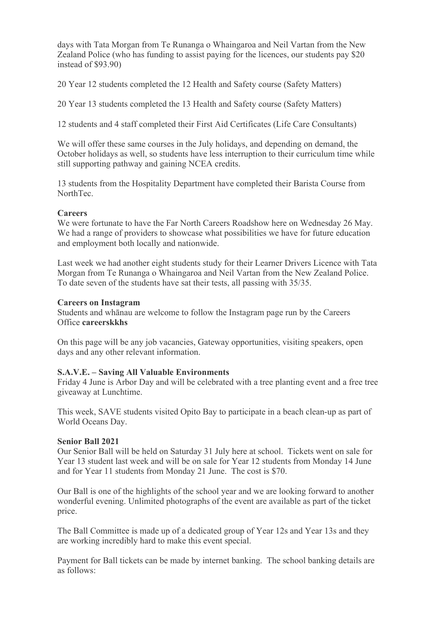days with Tata Morgan from Te Runanga o Whaingaroa and Neil Vartan from the New Zealand Police (who has funding to assist paying for the licences, our students pay \$20 instead of \$93.90)

20 Year 12 students completed the 12 Health and Safety course (Safety Matters)

20 Year 13 students completed the 13 Health and Safety course (Safety Matters)

12 students and 4 staff completed their First Aid Certificates (Life Care Consultants)

We will offer these same courses in the July holidays, and depending on demand, the October holidays as well, so students have less interruption to their curriculum time while still supporting pathway and gaining NCEA credits.

13 students from the Hospitality Department have completed their Barista Course from NorthTec.

# **Careers**

We were fortunate to have the Far North Careers Roadshow here on Wednesday 26 May. We had a range of providers to showcase what possibilities we have for future education and employment both locally and nationwide.

Last week we had another eight students study for their Learner Drivers Licence with Tata Morgan from Te Runanga o Whaingaroa and Neil Vartan from the New Zealand Police. To date seven of the students have sat their tests, all passing with 35/35.

## **Careers on Instagram**

Students and whānau are welcome to follow the Instagram page run by the Careers Office **careerskkhs**

On this page will be any job vacancies, Gateway opportunities, visiting speakers, open days and any other relevant information.

# **S.A.V.E. – Saving All Valuable Environments**

Friday 4 June is Arbor Day and will be celebrated with a tree planting event and a free tree giveaway at Lunchtime.

This week, SAVE students visited Opito Bay to participate in a beach clean-up as part of World Oceans Day.

### **Senior Ball 2021**

Our Senior Ball will be held on Saturday 31 July here at school. Tickets went on sale for Year 13 student last week and will be on sale for Year 12 students from Monday 14 June and for Year 11 students from Monday 21 June. The cost is \$70.

Our Ball is one of the highlights of the school year and we are looking forward to another wonderful evening. Unlimited photographs of the event are available as part of the ticket price.

The Ball Committee is made up of a dedicated group of Year 12s and Year 13s and they are working incredibly hard to make this event special.

Payment for Ball tickets can be made by internet banking. The school banking details are as follows: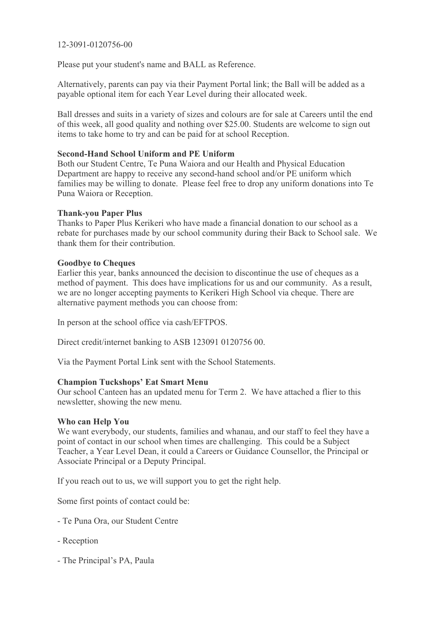# 12-3091-0120756-00

Please put your student's name and BALL as Reference.

Alternatively, parents can pay via their Payment Portal link; the Ball will be added as a payable optional item for each Year Level during their allocated week.

Ball dresses and suits in a variety of sizes and colours are for sale at Careers until the end of this week, all good quality and nothing over \$25.00. Students are welcome to sign out items to take home to try and can be paid for at school Reception.

# **Second-Hand School Uniform and PE Uniform**

Both our Student Centre, Te Puna Waiora and our Health and Physical Education Department are happy to receive any second-hand school and/or PE uniform which families may be willing to donate. Please feel free to drop any uniform donations into Te Puna Waiora or Reception.

## **Thank-you Paper Plus**

Thanks to Paper Plus Kerikeri who have made a financial donation to our school as a rebate for purchases made by our school community during their Back to School sale. We thank them for their contribution.

# **Goodbye to Cheques**

Earlier this year, banks announced the decision to discontinue the use of cheques as a method of payment. This does have implications for us and our community. As a result, we are no longer accepting payments to Kerikeri High School via cheque. There are alternative payment methods you can choose from:

In person at the school office via cash/EFTPOS.

Direct credit/internet banking to ASB 123091 0120756 00.

Via the Payment Portal Link sent with the School Statements.

### **Champion Tuckshops' Eat Smart Menu**

Our school Canteen has an updated menu for Term 2. We have attached a flier to this newsletter, showing the new menu.

#### **Who can Help You**

We want everybody, our students, families and whanau, and our staff to feel they have a point of contact in our school when times are challenging. This could be a Subject Teacher, a Year Level Dean, it could a Careers or Guidance Counsellor, the Principal or Associate Principal or a Deputy Principal.

If you reach out to us, we will support you to get the right help.

Some first points of contact could be:

- Te Puna Ora, our Student Centre
- Reception
- The Principal's PA, Paula